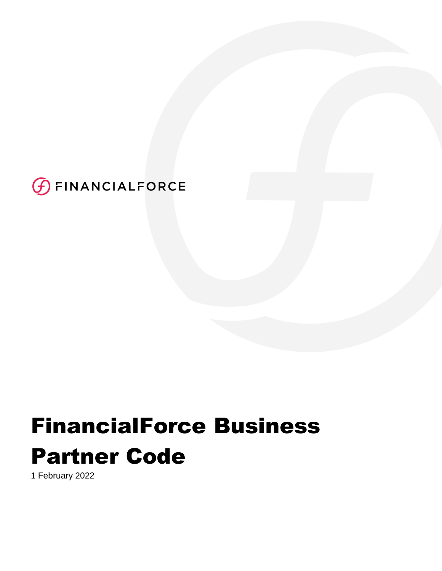

# FinancialForce Business Partner Code

1 February 2022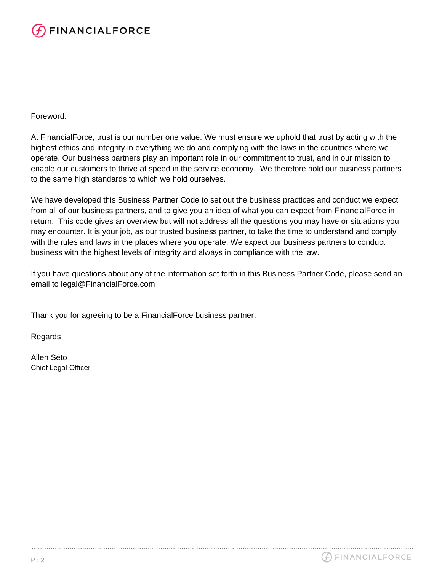

### Foreword:

At FinancialForce, trust is our number one value. We must ensure we uphold that trust by acting with the highest ethics and integrity in everything we do and complying with the laws in the countries where we operate. Our business partners play an important role in our commitment to trust, and in our mission to enable our customers to thrive at speed in the service economy. We therefore hold our business partners to the same high standards to which we hold ourselves.

We have developed this Business Partner Code to set out the business practices and conduct we expect from all of our business partners, and to give you an idea of what you can expect from FinancialForce in return. This code gives an overview but will not address all the questions you may have or situations you may encounter. It is your job, as our trusted business partner, to take the time to understand and comply with the rules and laws in the places where you operate. We expect our business partners to conduct business with the highest levels of integrity and always in compliance with the law.

If you have questions about any of the information set forth in this Business Partner Code, please send an email to legal@FinancialForce.com

Thank you for agreeing to be a FinancialForce business partner.

Regards

Allen Seto Chief Legal Officer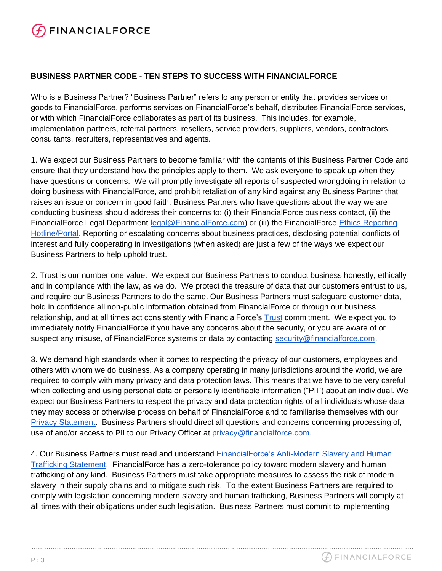# **FINANCIALFORCE**

## **BUSINESS PARTNER CODE - TEN STEPS TO SUCCESS WITH FINANCIALFORCE**

Who is a Business Partner? "Business Partner" refers to any person or entity that provides services or goods to FinancialForce, performs services on FinancialForce's behalf, distributes FinancialForce services, or with which FinancialForce collaborates as part of its business. This includes, for example, implementation partners, referral partners, resellers, service providers, suppliers, vendors, contractors, consultants, recruiters, representatives and agents.

1. We expect our Business Partners to become familiar with the contents of this Business Partner Code and ensure that they understand how the principles apply to them. We ask everyone to speak up when they have questions or concerns. We will promptly investigate all reports of suspected wrongdoing in relation to doing business with FinancialForce, and prohibit retaliation of any kind against any Business Partner that raises an issue or concern in good faith. Business Partners who have questions about the way we are conducting business should address their concerns to: (i) their FinancialForce business contact, (ii) the FinancialForce Legal Department [legal@FinancialForce.com\)](mailto:legal@FinancialForce.com) or (iii) the FinancialForce [Ethics Reporting](https://secure.ethicspoint.com/domain/media/en/gui/51230/index.html)  [Hotline/Portal.](https://secure.ethicspoint.com/domain/media/en/gui/51230/index.html) Reporting or escalating concerns about business practices, disclosing potential conflicts of interest and fully cooperating in investigations (when asked) are just a few of the ways we expect our Business Partners to help uphold trust.

2. Trust is our number one value. We expect our Business Partners to conduct business honestly, ethically and in compliance with the law, as we do. We protect the treasure of data that our customers entrust to us, and require our Business Partners to do the same. Our Business Partners must safeguard customer data, hold in confidence all non-public information obtained from FinancialForce or through our business relation[s](https://www.financialforce.com/trust/)hip, and at all times act consistently with FinancialForce's [Trust](https://www.financialforce.com/trust/) commitment. We expect you to immediately notify FinancialForce if you have any concerns about the security, or you are aware of or suspect any misuse, of FinancialForce systems or data by contacting [security@financialforce.com.](mailto:security@financialforce.com)

3. We demand high standards when it comes to respecting the privacy of our customers, employees and others with whom we do business. As a company operating in many jurisdictions around the world, we are required to comply with many privacy and data protection laws. This means that we have to be very careful when collecting and using personal data or personally identifiable information ("PII") about an individual. We expect our Business Partners to respect the privacy and data protection rights of all individuals whose data they may access or otherwise process on behalf of FinancialForce and to familiarise themselves with our [Privacy Statement.](https://www.financialforce.com/privacy/privacy-statement/) Business Partners should direct all questions and concerns concerning processing of, use of and/or access to PII to our Privacy Officer at [privacy@financialforce.com.](mailto:privacy@financialforce.com)

4. Our Business Partners must read and understand [FinancialForce's Anti-Modern Slavery and Human](https://www.financialforce.com/wp-content/assets/downloads/pdf/legal/Modern-Slavery-Statement-2018.pdf)  [Trafficking Statement.](https://www.financialforce.com/wp-content/assets/downloads/pdf/legal/Modern-Slavery-Statement-2018.pdf) FinancialForce has a zero-tolerance policy toward modern slavery and human trafficking of any kind. Business Partners must take appropriate measures to assess the risk of modern slavery in their supply chains and to mitigate such risk. To the extent Business Partners are required to comply with legislation concerning modern slavery and human trafficking, Business Partners will comply at all times with their obligations under such legislation. Business Partners must commit to implementing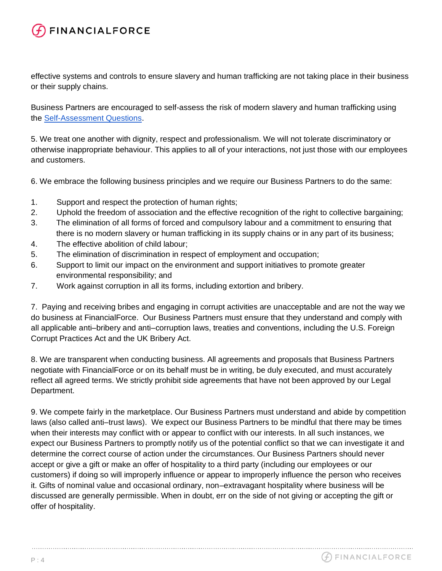## **FINANCIALFORCE**

effective systems and controls to ensure slavery and human trafficking are not taking place in their business or their supply chains.

Business Partners are encouraged to self-assess the risk of modern slavery and human trafficking using the [Self-Assessment Questions.](#page-5-0)

5. We treat one another with dignity, respect and professionalism. We will not tolerate discriminatory or otherwise inappropriate behaviour. This applies to all of your interactions, not just those with our employees and customers.

6. We embrace the following business principles and we require our Business Partners to do the same:

- 1. Support and respect the protection of human rights;
- 2. Uphold the freedom of association and the effective recognition of the right to collective bargaining;
- 3. The elimination of all forms of forced and compulsory labour and a commitment to ensuring that there is no modern slavery or human trafficking in its supply chains or in any part of its business;
- 4. The effective abolition of child labour;
- 5. The elimination of discrimination in respect of employment and occupation;
- 6. Support to limit our impact on the environment and support initiatives to promote greater environmental responsibility; and
- 7. Work against corruption in all its forms, including extortion and bribery.

7. Paying and receiving bribes and engaging in corrupt activities are unacceptable and are not the way we do business at FinancialForce. Our Business Partners must ensure that they understand and comply with all applicable anti–bribery and anti–corruption laws, treaties and conventions, including the U.S. Foreign Corrupt Practices Act and the UK Bribery Act.

8. We are transparent when conducting business. All agreements and proposals that Business Partners negotiate with FinancialForce or on its behalf must be in writing, be duly executed, and must accurately reflect all agreed terms. We strictly prohibit side agreements that have not been approved by our Legal Department.

9. We compete fairly in the marketplace. Our Business Partners must understand and abide by competition laws (also called anti–trust laws). We expect our Business Partners to be mindful that there may be times when their interests may conflict with or appear to conflict with our interests. In all such instances, we expect our Business Partners to promptly notify us of the potential conflict so that we can investigate it and determine the correct course of action under the circumstances. Our Business Partners should never accept or give a gift or make an offer of hospitality to a third party (including our employees or our customers) if doing so will improperly influence or appear to improperly influence the person who receives it. Gifts of nominal value and occasional ordinary, non–extravagant hospitality where business will be discussed are generally permissible. When in doubt, err on the side of not giving or accepting the gift or offer of hospitality.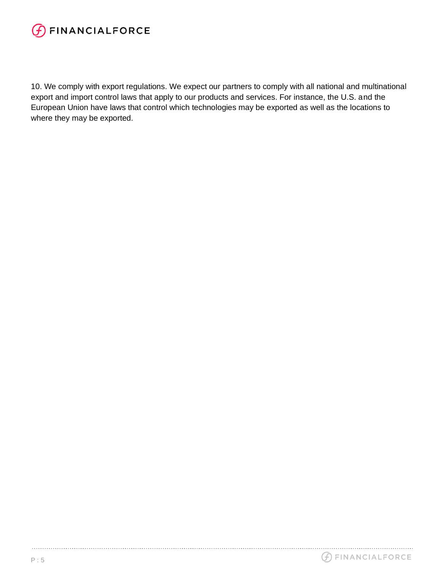

10. We comply with export regulations. We expect our partners to comply with all national and multinational export and import control laws that apply to our products and services. For instance, the U.S. and the European Union have laws that control which technologies may be exported as well as the locations to where they may be exported.